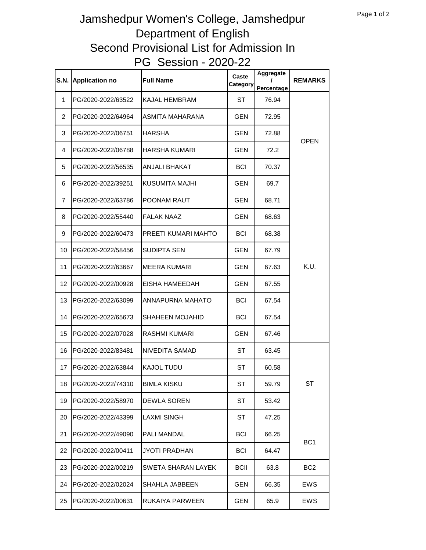## Jamshedpur Women's College, Jamshedpur Department of English Second Provisional List for Admission In PG Session - 2020-22

| <b>S.N.</b>    | <b>Application no</b> | <b>Full Name</b>       | Caste<br>Category | Aggregate<br>Percentage | <b>REMARKS</b>  |
|----------------|-----------------------|------------------------|-------------------|-------------------------|-----------------|
| 1              | PG/2020-2022/63522    | <b>KAJAL HEMBRAM</b>   | ST                | 76.94                   | <b>OPEN</b>     |
| $\overline{2}$ | PG/2020-2022/64964    | ASMITA MAHARANA        | <b>GEN</b>        | 72.95                   |                 |
| 3              | PG/2020-2022/06751    | HARSHA                 | <b>GEN</b>        | 72.88                   |                 |
| 4              | PG/2020-2022/06788    | HARSHA KUMARI          | <b>GEN</b>        | 72.2                    |                 |
| 5              | PG/2020-2022/56535    | <b>ANJALI BHAKAT</b>   | <b>BCI</b>        | 70.37                   |                 |
| 6              | PG/2020-2022/39251    | KUSUMITA MAJHI         | <b>GEN</b>        | 69.7                    |                 |
| $\overline{7}$ | PG/2020-2022/63786    | POONAM RAUT            | <b>GEN</b>        | 68.71                   | K.U.            |
| 8              | PG/2020-2022/55440    | <b>FALAK NAAZ</b>      | <b>GEN</b>        | 68.63                   |                 |
| 9              | PG/2020-2022/60473    | PREETI KUMARI MAHTO    | <b>BCI</b>        | 68.38                   |                 |
| 10             | PG/2020-2022/58456    | SUDIPTA SEN            | <b>GEN</b>        | 67.79                   |                 |
| 11             | PG/2020-2022/63667    | <b>MEERA KUMARI</b>    | <b>GEN</b>        | 67.63                   |                 |
| 12             | PG/2020-2022/00928    | EISHA HAMEEDAH         | <b>GEN</b>        | 67.55                   |                 |
| 13             | PG/2020-2022/63099    | ANNAPURNA MAHATO       | <b>BCI</b>        | 67.54                   |                 |
| 14             | PG/2020-2022/65673    | <b>SHAHEEN MOJAHID</b> | BCI               | 67.54                   |                 |
| 15             | PG/2020-2022/07028    | <b>RASHMI KUMARI</b>   | GEN               | 67.46                   |                 |
| 16             | PG/2020-2022/83481    | NIVEDITA SAMAD         | ST                | 63.45                   |                 |
| 17             | PG/2020-2022/63844    | <b>KAJOL TUDU</b>      | ST                | 60.58                   |                 |
| 18             | PG/2020-2022/74310    | <b>BIMLA KISKU</b>     | ST                | 59.79                   | <b>ST</b>       |
| 19             | PG/2020-2022/58970    | DEWLA SOREN            | ST                | 53.42                   |                 |
| 20             | PG/2020-2022/43399    | <b>LAXMI SINGH</b>     | ST                | 47.25                   |                 |
| 21             | PG/2020-2022/49090    | PALI MANDAL            | <b>BCI</b>        | 66.25                   | BC <sub>1</sub> |
| 22             | PG/2020-2022/00411    | <b>JYOTI PRADHAN</b>   | <b>BCI</b>        | 64.47                   |                 |
| 23             | PG/2020-2022/00219    | SWETA SHARAN LAYEK     | <b>BCII</b>       | 63.8                    | BC <sub>2</sub> |
| 24             | PG/2020-2022/02024    | SHAHLA JABBEEN         | GEN               | 66.35                   | EWS             |
| 25             | PG/2020-2022/00631    | RUKAIYA PARWEEN        | GEN               | 65.9                    | <b>EWS</b>      |